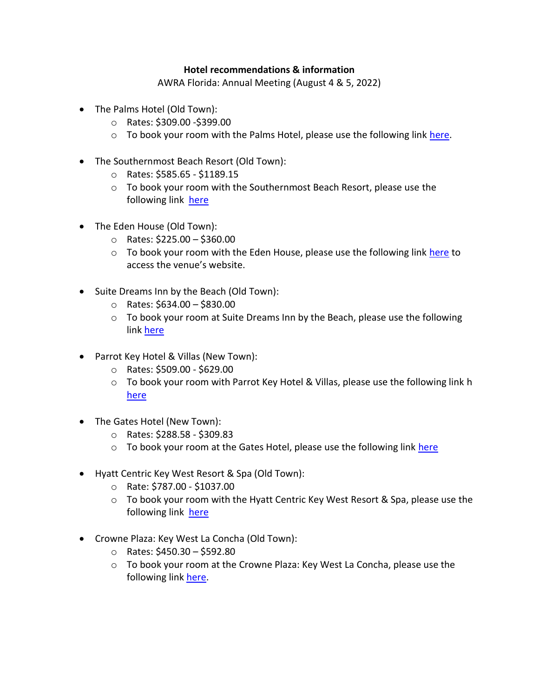## **Hotel recommendations & information**

AWRA Florida: Annual Meeting (August 4 & 5, 2022)

- The Palms Hotel (Old Town):
	- o Rates: \$309.00 -\$399.00
	- $\circ$  To book your room with the Palms Hotel, please use the following link [here.](https://www.palmskw.com/)
- The Southernmost Beach Resort (Old Town):
	- o Rates: \$585.65 \$1189.15
	- $\circ$  To book your room with the Southernmost Beach Resort, please use the following link [here](https://www.southernmosthouse.com/)
- The Eden House (Old Town):
	- o Rates: \$225.00 \$360.00
	- $\circ$  To book your room with the Eden House, please use the following link [here](https://us01.iqwebbook.com/EHFL398/~/) to access the venue's website.
- Suite Dreams Inn by the Beach (Old Town):
	- $\circ$  Rates: \$634.00 \$830.00
	- $\circ$  To book your room at Suite Dreams Inn by the Beach, please use the following link [here](https://via.eviivo.com/StDrmsInnbythbch33040?noofrooms=1&startDate=2021-10-06&endDate=2021-10-09&pce=&adults1=1&children1=0&roomtype1=95566&roomtype2=95567&roomtype3=95568&roomtype4=95569&roomtype5=95570)
- Parrot Key Hotel & Villas (New Town):
	- o Rates: \$509.00 \$629.00
	- o To book your room with Parrot Key Hotel & Villas, please use the following link h [here](https://www.parrotkeyhotel.com/)
- The Gates Hotel (New Town):
	- o Rates: \$288.58 \$309.83
	- o To book your room at the Gates Hotel, please use the following link [here](https://www.gateshotelkeywest.com/)
- Hyatt Centric Key West Resort & Spa (Old Town):
	- o Rate: \$787.00 \$1037.00
	- $\circ$  To book your room with the Hyatt Centric Key West Resort & Spa, please use the following link [here](https://www.hyatt.com/en-US/hotel/florida/hyatt-centric-key-west-resort-and-spa/kwest?src=corp_lclb_gmb_seo_kwest)
- Crowne Plaza: Key West La Concha (Old Town):
	- $\circ$  Rates: \$450.30 \$592.80
	- $\circ$  To book your room at the Crowne Plaza: Key West La Concha, please use the following link [here.](https://www.ihg.com/crowneplaza/hotels/us/en/find-hotels/hotel/rooms?qDest=430%20Duval%20Street,%20Key%20West,%20FL,%20US&qCiMy=92021&qCiD=6&qCoMy=92021&qCoD=8&qAdlt=1&qChld=0&qRms=1&qRtP=6CBARC&qSlH=EYWLC&qAkamaiCC=US&qSrt=sBR&qBrs=re.ic.in.vn.cp.vx.hi.ex.rs.cv.sb.cw.ma.ul.ki.va.ii.sp.nd.ct.sx&qAAR=6CBARC&qWch=0&qSmP=1&setPMCookies=true&qRad=30&qRdU=mi&srb_u=1&qSHBrC=CP)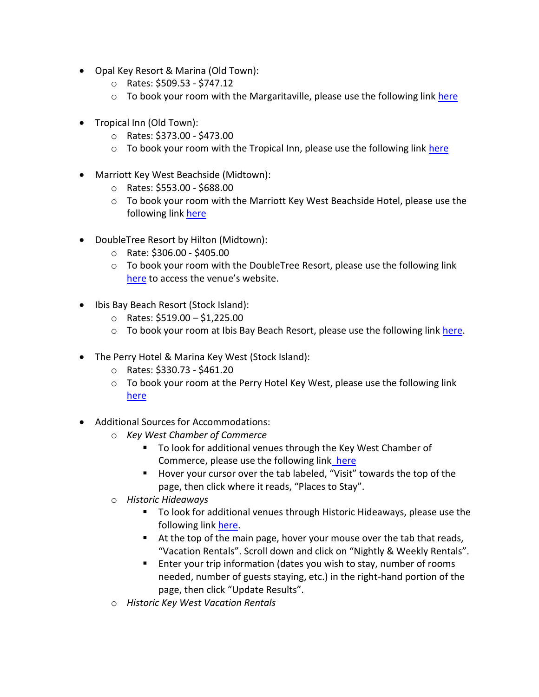- Opal Key Resort & Marina (Old Town):
	- o Rates: \$509.53 \$747.12
	- $\circ$  To book your room with the Margaritaville, please use the following link [here](https://reservations.opalkeywest.com/opalkey/availability.asp)
- Tropical Inn (Old Town):
	- o Rates: \$373.00 \$473.00
	- $\circ$  To book your room with the Tropical Inn, please use the following link [here](https://secure.thinkreservations.com/tropicalinn/reservations/availability?start_date=2021-10-06&end_date=2021-10-09&number_of_adults=1&number_of_children=0)
- Marriott Key West Beachside (Midtown):
	- o Rates: \$553.00 \$688.00
	- $\circ$  To book your room with the Marriott Key West Beachside Hotel, please use the following link [here](https://www.marriott.com/reservation/rateListMenu.mi?defaultTab=dealsAndPackages)
- DoubleTree Resort by Hilton (Midtown):
	- o Rate: \$306.00 \$405.00
	- o To book your room with the DoubleTree Resort, please use the following link [here](https://www.hilton.com/en/book/reservation/rooms/?ctyhocn=EYWDTDT&arrivalDate=2021-10-06&departureDate=2021-10-09&room1NumAdults=1&brandCode=DT&inputModule=HOTEL_SEARCH&ohwDeepLinking=true) to access the venue's website.
- Ibis Bay Beach Resort (Stock Island):
	- o Rates: \$519.00 \$1,225.00
	- $\circ$  To book your room at Ibis Bay Beach Resort, please use the following link [here.](https://us01.iqwebbook.com/IBBRFL196/~/)
- The Perry Hotel & Marina Key West (Stock Island):
	- o Rates: \$330.73 \$461.20
	- $\circ$  To book your room at the Perry Hotel Key West, please use the following link [here](https://www.perrykeywest.com/?utm_source=google&utm_medium=organic&utm_campaign=GMB)
- Additional Sources for Accommodations:
	- o *Key West Chamber of Commerce*
		- To look for additional venues through the Key West Chamber of Commerce, please use the following link [here](https://www.keywestchamber.org/)
		- Hover your cursor over the tab labeled, "Visit" towards the top of the page, then click where it reads, "Places to Stay".
	- o *Historic Hideaways*
		- To look for additional venues through Historic Hideaways, please use the following link [here.](https://www.historichideaways.com/)
		- At the top of the main page, hover your mouse over the tab that reads, "Vacation Rentals". Scroll down and click on "Nightly & Weekly Rentals".
		- Enter your trip information (dates you wish to stay, number of rooms needed, number of guests staying, etc.) in the right-hand portion of the page, then click "Update Results".
	- o *Historic Key West Vacation Rentals*